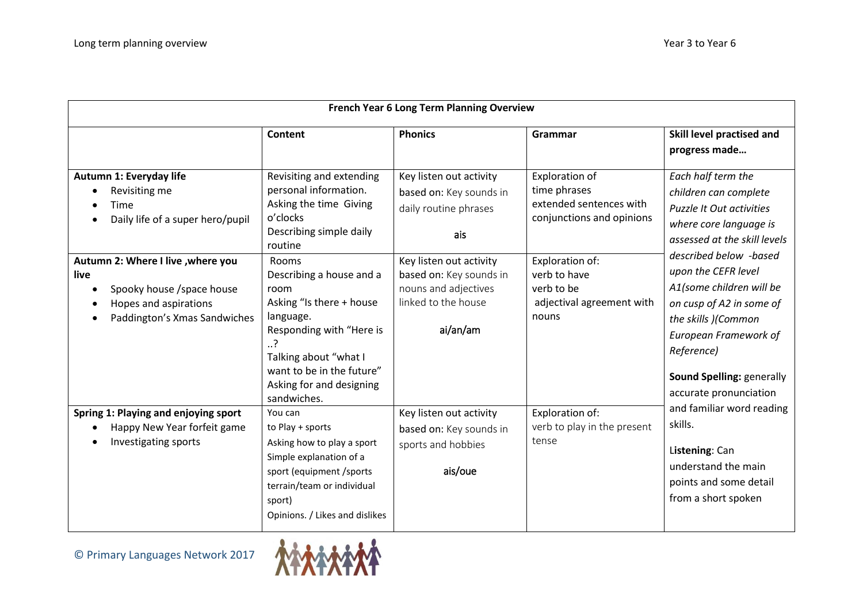| French Year 6 Long Term Planning Overview                                                                                                                        |                                                                                                                                                                                            |                                                                                                                                                                  |                                                                                                                                         |                                                                                                                                                                                                                                                                                                                                                                                                                                                                                                   |  |  |
|------------------------------------------------------------------------------------------------------------------------------------------------------------------|--------------------------------------------------------------------------------------------------------------------------------------------------------------------------------------------|------------------------------------------------------------------------------------------------------------------------------------------------------------------|-----------------------------------------------------------------------------------------------------------------------------------------|---------------------------------------------------------------------------------------------------------------------------------------------------------------------------------------------------------------------------------------------------------------------------------------------------------------------------------------------------------------------------------------------------------------------------------------------------------------------------------------------------|--|--|
|                                                                                                                                                                  | Content                                                                                                                                                                                    | <b>Phonics</b>                                                                                                                                                   | Grammar                                                                                                                                 | Skill level practised and<br>progress made                                                                                                                                                                                                                                                                                                                                                                                                                                                        |  |  |
| Autumn 1: Everyday life<br>Revisiting me<br>Time<br>Daily life of a super hero/pupil<br>Autumn 2: Where I live , where you<br>live<br>Spooky house / space house | Revisiting and extending<br>personal information.<br>Asking the time Giving<br>o'clocks<br>Describing simple daily<br>routine<br>Rooms<br>Describing a house and a<br>room                 | Key listen out activity<br>based on: Key sounds in<br>daily routine phrases<br>ais<br>Key listen out activity<br>based on: Key sounds in<br>nouns and adjectives | Exploration of<br>time phrases<br>extended sentences with<br>conjunctions and opinions<br>Exploration of:<br>verb to have<br>verb to be | Each half term the<br>children can complete<br>Puzzle It Out activities<br>where core language is<br>assessed at the skill levels<br>described below -based<br>upon the CEFR level<br>A1(some children will be<br>on cusp of A2 in some of<br>the skills )(Common<br>European Framework of<br>Reference)<br>Sound Spelling: generally<br>accurate pronunciation<br>and familiar word reading<br>skills.<br>Listening: Can<br>understand the main<br>points and some detail<br>from a short spoken |  |  |
| Hopes and aspirations<br>Paddington's Xmas Sandwiches                                                                                                            | Asking "Is there + house<br>language.<br>Responding with "Here is<br>?<br>Talking about "what I<br>want to be in the future"<br>Asking for and designing<br>sandwiches.                    | linked to the house<br>ai/an/am                                                                                                                                  | adjectival agreement with<br>nouns                                                                                                      |                                                                                                                                                                                                                                                                                                                                                                                                                                                                                                   |  |  |
| Spring 1: Playing and enjoying sport<br>Happy New Year forfeit game<br>Investigating sports                                                                      | You can<br>to Play + sports<br>Asking how to play a sport<br>Simple explanation of a<br>sport (equipment /sports<br>terrain/team or individual<br>sport)<br>Opinions. / Likes and dislikes | Key listen out activity<br>based on: Key sounds in<br>sports and hobbies<br>ais/oue                                                                              | Exploration of:<br>verb to play in the present<br>tense                                                                                 |                                                                                                                                                                                                                                                                                                                                                                                                                                                                                                   |  |  |

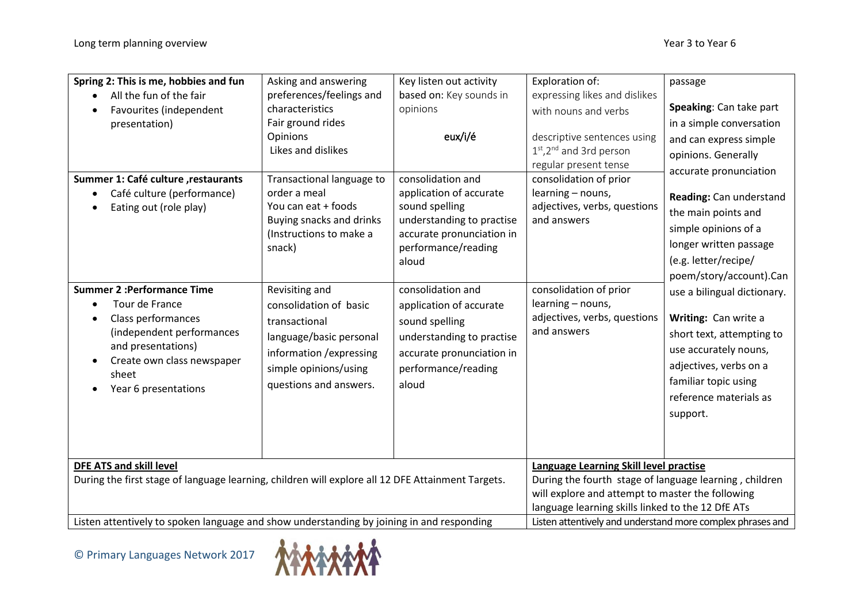| Spring 2: This is me, hobbies and fun<br>All the fun of the fair                                                                                                                                                      | Asking and answering<br>preferences/feelings and                                                                                                                    | Key listen out activity<br>based on: Key sounds in                                                                                                       | Exploration of:<br>expressing likes and dislikes                                                                                                                                                          | passage                                                                                                                                                                                           |
|-----------------------------------------------------------------------------------------------------------------------------------------------------------------------------------------------------------------------|---------------------------------------------------------------------------------------------------------------------------------------------------------------------|----------------------------------------------------------------------------------------------------------------------------------------------------------|-----------------------------------------------------------------------------------------------------------------------------------------------------------------------------------------------------------|---------------------------------------------------------------------------------------------------------------------------------------------------------------------------------------------------|
| Favourites (independent<br>presentation)<br>Summer 1: Café culture, restaurants<br>Café culture (performance)<br>$\bullet$                                                                                            | characteristics<br>Fair ground rides<br>Opinions<br>Likes and dislikes<br>Transactional language to<br>order a meal                                                 | opinions<br>eux/i/é<br>consolidation and<br>application of accurate                                                                                      | with nouns and verbs<br>descriptive sentences using<br>1st, 2 <sup>nd</sup> and 3rd person<br>regular present tense<br>consolidation of prior<br>learning - nouns,                                        | Speaking: Can take part<br>in a simple conversation<br>and can express simple<br>opinions. Generally<br>accurate pronunciation                                                                    |
| Eating out (role play)                                                                                                                                                                                                | You can eat + foods<br>Buying snacks and drinks<br>(Instructions to make a<br>snack)                                                                                | sound spelling<br>understanding to practise<br>accurate pronunciation in<br>performance/reading<br>aloud                                                 | adjectives, verbs, questions<br>and answers                                                                                                                                                               | Reading: Can understand<br>the main points and<br>simple opinions of a<br>longer written passage<br>(e.g. letter/recipe/<br>poem/story/account).Can                                               |
| <b>Summer 2: Performance Time</b><br>Tour de France<br>$\bullet$<br>Class performances<br>(independent performances<br>and presentations)<br>Create own class newspaper<br>$\bullet$<br>sheet<br>Year 6 presentations | Revisiting and<br>consolidation of basic<br>transactional<br>language/basic personal<br>information / expressing<br>simple opinions/using<br>questions and answers. | consolidation and<br>application of accurate<br>sound spelling<br>understanding to practise<br>accurate pronunciation in<br>performance/reading<br>aloud | consolidation of prior<br>learning - nouns,<br>adjectives, verbs, questions<br>and answers                                                                                                                | use a bilingual dictionary.<br>Writing: Can write a<br>short text, attempting to<br>use accurately nouns,<br>adjectives, verbs on a<br>familiar topic using<br>reference materials as<br>support. |
| <b>DFE ATS and skill level</b><br>During the first stage of language learning, children will explore all 12 DFE Attainment Targets.                                                                                   |                                                                                                                                                                     |                                                                                                                                                          | Language Learning Skill level practise<br>During the fourth stage of language learning, children<br>will explore and attempt to master the following<br>language learning skills linked to the 12 DfE ATs |                                                                                                                                                                                                   |
| Listen attentively to spoken language and show understanding by joining in and responding                                                                                                                             |                                                                                                                                                                     |                                                                                                                                                          | Listen attentively and understand more complex phrases and                                                                                                                                                |                                                                                                                                                                                                   |

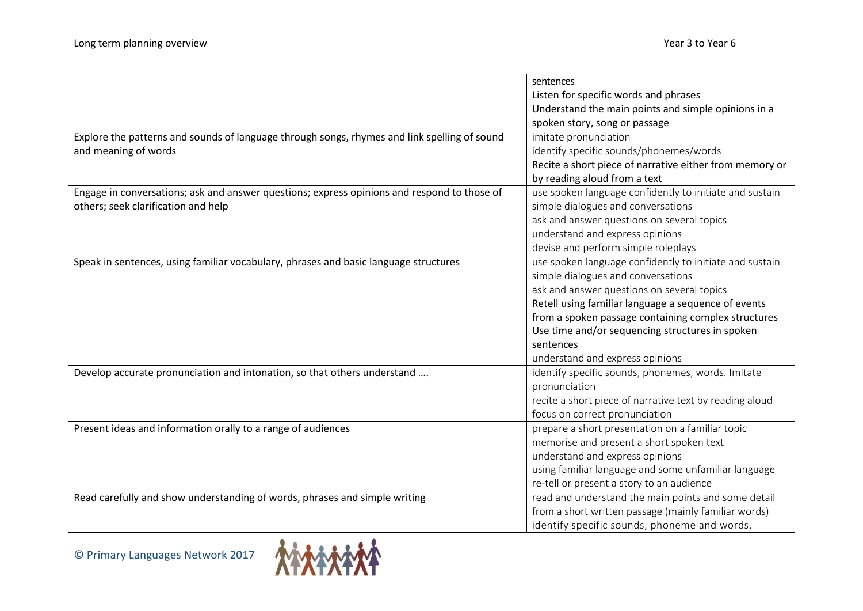|                                                                                              | sentences                                               |
|----------------------------------------------------------------------------------------------|---------------------------------------------------------|
|                                                                                              | Listen for specific words and phrases                   |
|                                                                                              | Understand the main points and simple opinions in a     |
|                                                                                              | spoken story, song or passage                           |
| Explore the patterns and sounds of language through songs, rhymes and link spelling of sound | imitate pronunciation                                   |
| and meaning of words                                                                         | identify specific sounds/phonemes/words                 |
|                                                                                              | Recite a short piece of narrative either from memory or |
|                                                                                              | by reading aloud from a text                            |
| Engage in conversations; ask and answer questions; express opinions and respond to those of  | use spoken language confidently to initiate and sustain |
| others; seek clarification and help                                                          | simple dialogues and conversations                      |
|                                                                                              | ask and answer questions on several topics              |
|                                                                                              | understand and express opinions                         |
|                                                                                              | devise and perform simple roleplays                     |
| Speak in sentences, using familiar vocabulary, phrases and basic language structures         | use spoken language confidently to initiate and sustain |
|                                                                                              | simple dialogues and conversations                      |
|                                                                                              | ask and answer questions on several topics              |
|                                                                                              | Retell using familiar language a sequence of events     |
|                                                                                              | from a spoken passage containing complex structures     |
|                                                                                              | Use time and/or sequencing structures in spoken         |
|                                                                                              | sentences                                               |
|                                                                                              | understand and express opinions                         |
| Develop accurate pronunciation and intonation, so that others understand                     | identify specific sounds, phonemes, words. Imitate      |
|                                                                                              | pronunciation                                           |
|                                                                                              | recite a short piece of narrative text by reading aloud |
|                                                                                              | focus on correct pronunciation                          |
| Present ideas and information orally to a range of audiences                                 | prepare a short presentation on a familiar topic        |
|                                                                                              | memorise and present a short spoken text                |
|                                                                                              | understand and express opinions                         |
|                                                                                              | using familiar language and some unfamiliar language    |
|                                                                                              | re-tell or present a story to an audience               |
| Read carefully and show understanding of words, phrases and simple writing                   | read and understand the main points and some detail     |
|                                                                                              | from a short written passage (mainly familiar words)    |
|                                                                                              | identify specific sounds, phoneme and words.            |